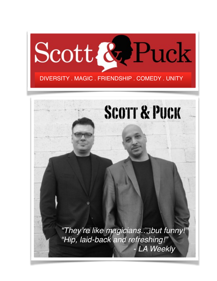

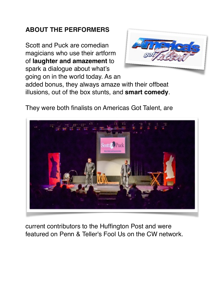## **ABOUT THE PERFORMERS**

Scott and Puck are comedian magicians who use their artform of **laughter and amazement** to spark a dialogue about what's going on in the world today. As an



added bonus, they always amaze with their offbeat illusions, out of the box stunts, and **smart comedy**.

They were both finalists on Americas Got Talent, are



current contributors to the Huffington Post and were featured on Penn & Teller's Fool Us on the CW network.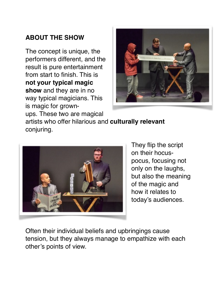## **ABOUT THE SHOW**

The concept is unique, the performers different, and the result is pure entertainment from start to finish. This is **not your typical magic show** and they are in no way typical magicians. This is magic for grownups. These two are magical



artists who offer hilarious and **culturally relevant**  conjuring.



They flip the script on their hocuspocus, focusing not only on the laughs, but also the meaning of the magic and how it relates to today's audiences.

Often their individual beliefs and upbringings cause tension, but they always manage to empathize with each other's points of view.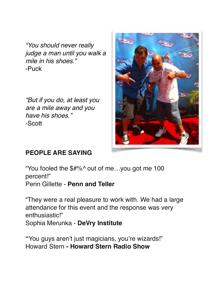*"You should never really judge a man until you walk a mile in his shoes."*  -Puck

*"But if you do, at least you are a mile away and you have his shoes."* -Scott



## **PEOPLE ARE SAYING**

"You fooled the \$#%^ out of me…you got me 100 percent!" Penn Gillette - **Penn and Teller**

"They were a real pleasure to work with. We had a large attendance for this event and the response was very enthusiastic!" Sophia Merunka - **DeVry Institute**

**"**You guys aren't just magicians, you're wizards!" Howard Stern **- Howard Stern Radio Show**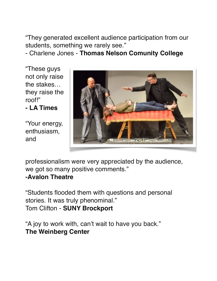"They generated excellent audience participation from our students, something we rarely see."

- Charlene Jones - **Thomas Nelson Comunity College**

"These guys not only raise the stakes… they raise the roof!"

**- LA Times**

"Your energy, enthusiasm, and



professionalism were very appreciated by the audience, we got so many positive comments."

## **-Avalon Theatre**

"Students flooded them with questions and personal stories. It was truly phenominal." Tom Clifton - **SUNY Brockport**

"A joy to work with, can't wait to have you back." **The Weinberg Center**